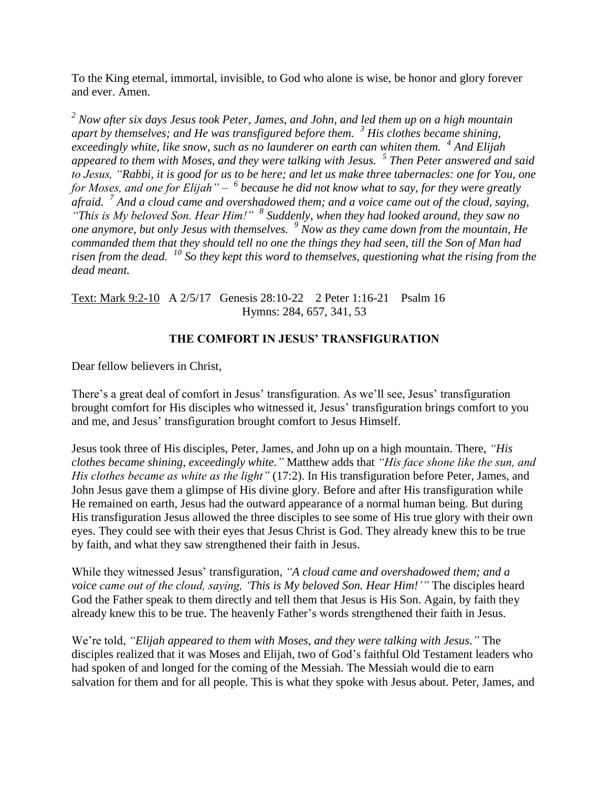To the King eternal, immortal, invisible, to God who alone is wise, be honor and glory forever and ever. Amen.

*<sup>2</sup> Now after six days Jesus took Peter, James, and John, and led them up on a high mountain apart by themselves; and He was transfigured before them. <sup>3</sup> His clothes became shining, exceedingly white, like snow, such as no launderer on earth can whiten them. <sup>4</sup> And Elijah appeared to them with Moses, and they were talking with Jesus. <sup>5</sup> Then Peter answered and said to Jesus, "Rabbi, it is good for us to be here; and let us make three tabernacles: one for You, one*  for Moses, and one for Elijah" – <sup>6</sup> because he did not know what to say, for they were greatly *afraid. <sup>7</sup> And a cloud came and overshadowed them; and a voice came out of the cloud, saying, "This is My beloved Son. Hear Him!" <sup>8</sup> Suddenly, when they had looked around, they saw no one anymore, but only Jesus with themselves. <sup>9</sup> Now as they came down from the mountain, He commanded them that they should tell no one the things they had seen, till the Son of Man had risen from the dead. <sup>10</sup> So they kept this word to themselves, questioning what the rising from the dead meant.*

Text: Mark 9:2-10 A 2/5/17 Genesis 28:10-22 2 Peter 1:16-21 Psalm 16 Hymns: 284, 657, 341, 53

## **THE COMFORT IN JESUS' TRANSFIGURATION**

Dear fellow believers in Christ,

There's a great deal of comfort in Jesus' transfiguration. As we'll see, Jesus' transfiguration brought comfort for His disciples who witnessed it, Jesus' transfiguration brings comfort to you and me, and Jesus' transfiguration brought comfort to Jesus Himself.

Jesus took three of His disciples, Peter, James, and John up on a high mountain. There, *"His clothes became shining, exceedingly white."* Matthew adds that *"His face shone like the sun, and His clothes became as white as the light"* (17:2). In His transfiguration before Peter, James, and John Jesus gave them a glimpse of His divine glory. Before and after His transfiguration while He remained on earth, Jesus had the outward appearance of a normal human being. But during His transfiguration Jesus allowed the three disciples to see some of His true glory with their own eyes. They could see with their eyes that Jesus Christ is God. They already knew this to be true by faith, and what they saw strengthened their faith in Jesus.

While they witnessed Jesus' transfiguration, *"A cloud came and overshadowed them; and a voice came out of the cloud, saying, 'This is My beloved Son. Hear Him!'"* The disciples heard God the Father speak to them directly and tell them that Jesus is His Son. Again, by faith they already knew this to be true. The heavenly Father's words strengthened their faith in Jesus.

We're told, *"Elijah appeared to them with Moses, and they were talking with Jesus."* The disciples realized that it was Moses and Elijah, two of God's faithful Old Testament leaders who had spoken of and longed for the coming of the Messiah. The Messiah would die to earn salvation for them and for all people. This is what they spoke with Jesus about. Peter, James, and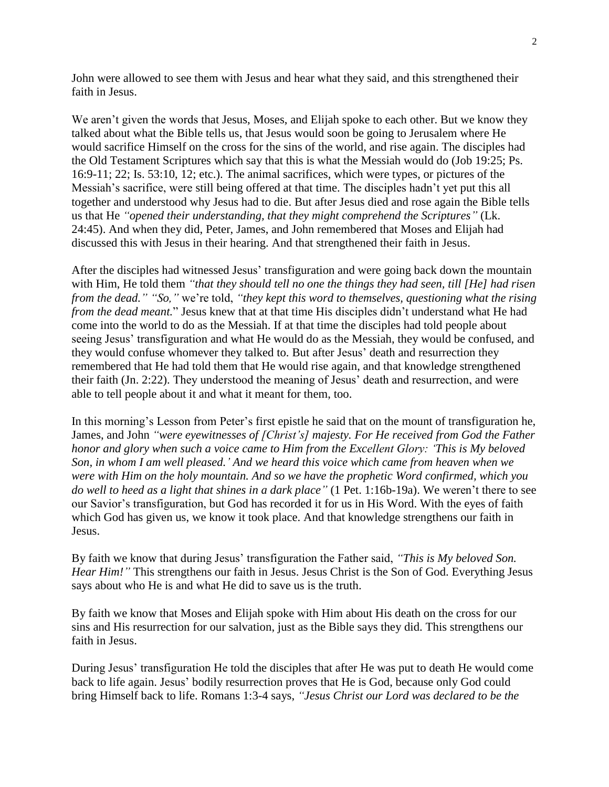John were allowed to see them with Jesus and hear what they said, and this strengthened their faith in Jesus.

We aren't given the words that Jesus, Moses, and Elijah spoke to each other. But we know they talked about what the Bible tells us, that Jesus would soon be going to Jerusalem where He would sacrifice Himself on the cross for the sins of the world, and rise again. The disciples had the Old Testament Scriptures which say that this is what the Messiah would do (Job 19:25; Ps. 16:9-11; 22; Is. 53:10, 12; etc.). The animal sacrifices, which were types, or pictures of the Messiah's sacrifice, were still being offered at that time. The disciples hadn't yet put this all together and understood why Jesus had to die. But after Jesus died and rose again the Bible tells us that He *"opened their understanding, that they might comprehend the Scriptures"* (Lk. 24:45). And when they did, Peter, James, and John remembered that Moses and Elijah had discussed this with Jesus in their hearing. And that strengthened their faith in Jesus.

After the disciples had witnessed Jesus' transfiguration and were going back down the mountain with Him, He told them *"that they should tell no one the things they had seen, till [He] had risen from the dead." "So,"* we're told, *"they kept this word to themselves, questioning what the rising from the dead meant.*" Jesus knew that at that time His disciples didn't understand what He had come into the world to do as the Messiah. If at that time the disciples had told people about seeing Jesus' transfiguration and what He would do as the Messiah, they would be confused, and they would confuse whomever they talked to. But after Jesus' death and resurrection they remembered that He had told them that He would rise again, and that knowledge strengthened their faith (Jn. 2:22). They understood the meaning of Jesus' death and resurrection, and were able to tell people about it and what it meant for them, too.

In this morning's Lesson from Peter's first epistle he said that on the mount of transfiguration he, James, and John *"were eyewitnesses of [Christ's] majesty. For He received from God the Father honor and glory when such a voice came to Him from the Excellent Glory: 'This is My beloved Son, in whom I am well pleased.' And we heard this voice which came from heaven when we were with Him on the holy mountain. And so we have the prophetic Word confirmed, which you do well to heed as a light that shines in a dark place"* (1 Pet. 1:16b-19a). We weren't there to see our Savior's transfiguration, but God has recorded it for us in His Word. With the eyes of faith which God has given us, we know it took place. And that knowledge strengthens our faith in Jesus.

By faith we know that during Jesus' transfiguration the Father said, *"This is My beloved Son. Hear Him!*" This strengthens our faith in Jesus. Jesus Christ is the Son of God. Everything Jesus says about who He is and what He did to save us is the truth.

By faith we know that Moses and Elijah spoke with Him about His death on the cross for our sins and His resurrection for our salvation, just as the Bible says they did. This strengthens our faith in Jesus.

During Jesus' transfiguration He told the disciples that after He was put to death He would come back to life again. Jesus' bodily resurrection proves that He is God, because only God could bring Himself back to life. Romans 1:3-4 says, *"Jesus Christ our Lord was declared to be the*